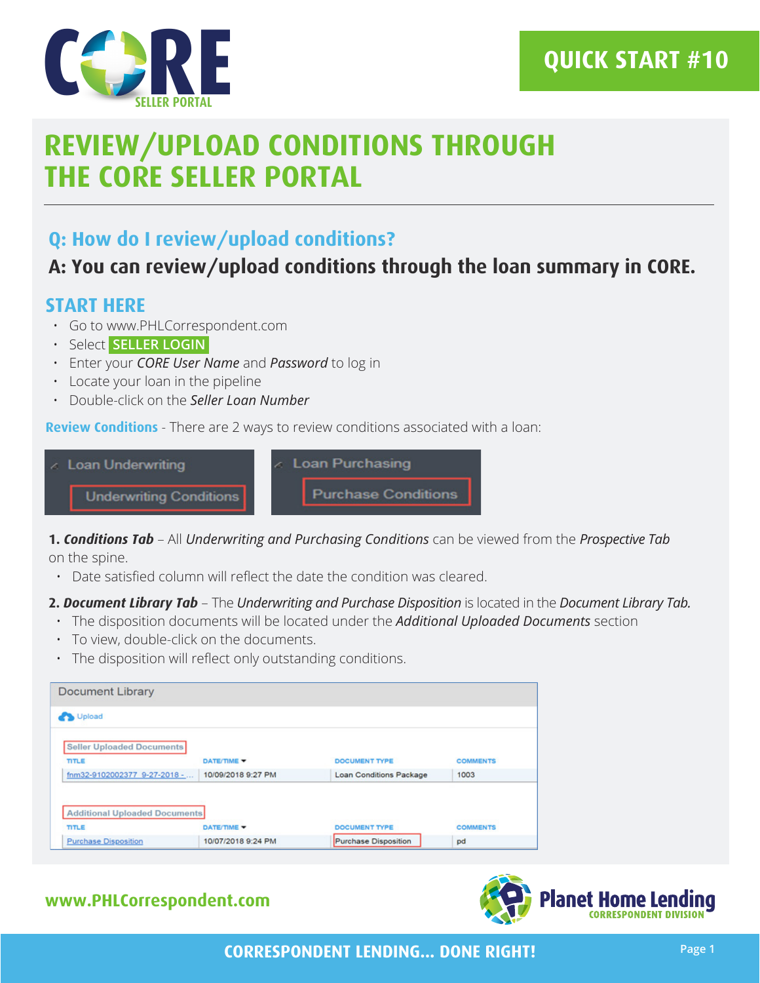

## **QUICK START #10**

# **REVIEW/UPLOAD CONDITIONS THROUGH THE CORE SELLER PORTAL**

### **Q: How do I review/upload conditions?**

### **A: You can review/upload conditions through the loan summary in CORE.**

### **START HERE**

- Go to www.PHLCorrespondent.com
- Select **SELLER LOGIN**
- Enter your *CORE User Name* and *Password* to log in
- Locate your loan in the pipeline
- Double-click on the *Seller Loan Number*

**Review Conditions** - There are 2 ways to review conditions associated with a loan:



**1.** *Conditions Tab* – All *Underwriting and Purchasing Conditions* can be viewed from the *Prospective Tab*  on the spine.

• Date satisfied column will reflect the date the condition was cleared.

#### **2.** *Document Library Tab* – The *Underwriting and Purchase Disposition* is located in the *Document Library Tab.*

- The disposition documents will be located under the *Additional Uploaded Documents* section
- To view, double-click on the documents.
- The disposition will reflect only outstanding conditions.

| DATE/TIME Y                                        | <b>DOCUMENT TYPE</b>           | <b>COMMENTS</b> |
|----------------------------------------------------|--------------------------------|-----------------|
| 10/09/2018 9:27 PM<br>fnm32-9102002377 9-27-2018 - | <b>Loan Conditions Package</b> | 1003            |
|                                                    |                                |                 |

### **www.PHLCorrespondent.com**

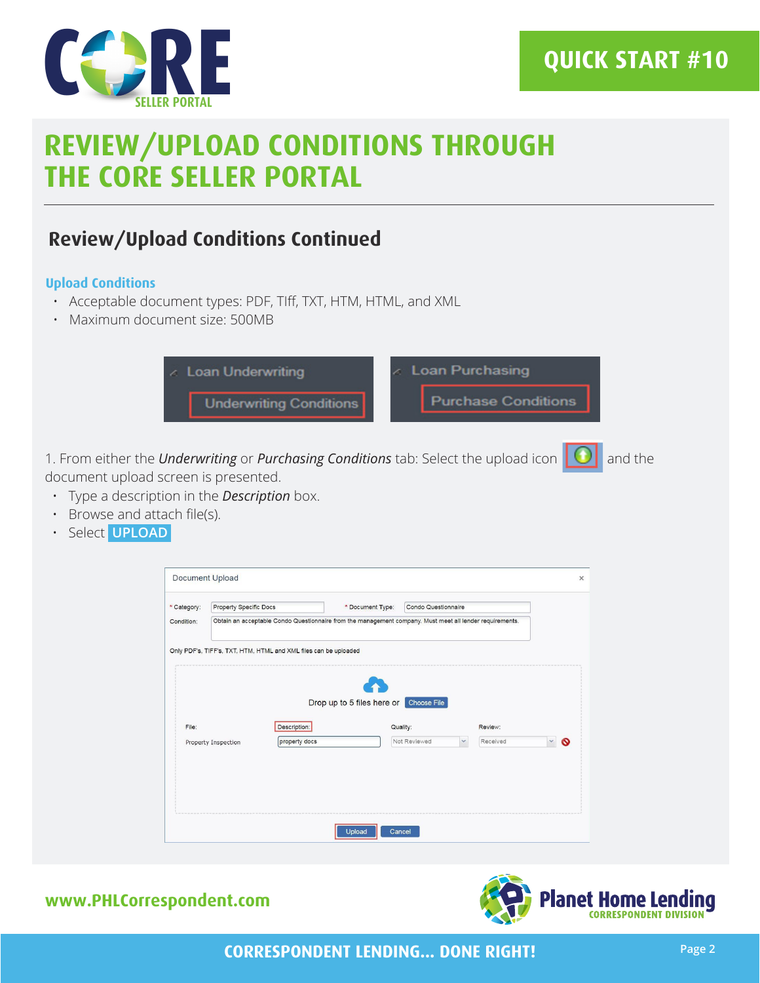

## **QUICK START #10**

# **REVIEW/UPLOAD CONDITIONS THROUGH THE CORE SELLER PORTAL**

### **Review/Upload Conditions Continued**

#### **Upload Conditions**

- Acceptable document types: PDF, TIff, TXT, HTM, HTML, and XML
- Maximum document size: 500MB



1. From either the *Underwriting* or *Purchasing Conditions* tab: Select the upload icon  $\|$  0 and the document upload screen is presented.

- Type a description in the *Description* box.
- Browse and attach file(s).
- Select **UPLOAD**

|             | Document Upload                                                                                          |                                                                  |                                        |                     |                          |   |
|-------------|----------------------------------------------------------------------------------------------------------|------------------------------------------------------------------|----------------------------------------|---------------------|--------------------------|---|
| * Category: | Property Specific Docs                                                                                   |                                                                  | * Document Type:                       | Condo Questionnaire |                          |   |
| Condition:  | Obtain an acceptable Condo Questionnaire from the management company. Must meet all lender requirements. |                                                                  |                                        |                     |                          |   |
|             |                                                                                                          | Only PDF's, TIFF's, TXT, HTM, HTML and XML files can be uploaded |                                        |                     |                          |   |
| File:       |                                                                                                          | Description:                                                     | Drop up to 5 files here or Choose File | Quality:            | Review:                  |   |
|             |                                                                                                          | property docs                                                    |                                        | Not Reviewed        | Received<br>$\checkmark$ | O |
|             | Property Inspection                                                                                      |                                                                  |                                        |                     |                          |   |
|             |                                                                                                          |                                                                  |                                        |                     |                          |   |
|             |                                                                                                          |                                                                  |                                        |                     |                          |   |
|             |                                                                                                          |                                                                  |                                        |                     |                          |   |

### **www.PHLCorrespondent.com**



**CORRESPONDENT LENDING... DONE RIGHT!**